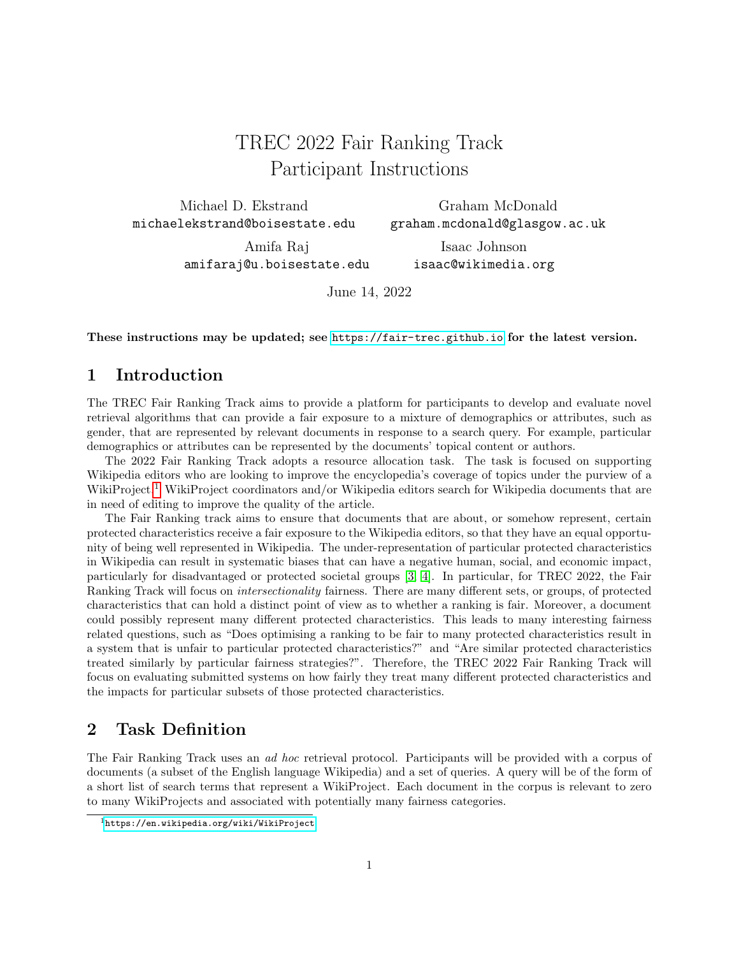# TREC 2022 Fair Ranking Track Participant Instructions

Michael D. Ekstrand michaelekstrand@boisestate.edu

Graham McDonald graham.mcdonald@glasgow.ac.uk

Amifa Raj amifaraj@u.boisestate.edu

Isaac Johnson isaac@wikimedia.org

June 14, 2022

These instructions may be updated; see <https://fair-trec.github.io> for the latest version.

## 1 Introduction

The TREC Fair Ranking Track aims to provide a platform for participants to develop and evaluate novel retrieval algorithms that can provide a fair exposure to a mixture of demographics or attributes, such as gender, that are represented by relevant documents in response to a search query. For example, particular demographics or attributes can be represented by the documents' topical content or authors.

The 2022 Fair Ranking Track adopts a resource allocation task. The task is focused on supporting Wikipedia editors who are looking to improve the encyclopedia's coverage of topics under the purview of a WikiProject.<sup>[1](#page-0-0)</sup> WikiProject coordinators and/or Wikipedia editors search for Wikipedia documents that are in need of editing to improve the quality of the article.

The Fair Ranking track aims to ensure that documents that are about, or somehow represent, certain protected characteristics receive a fair exposure to the Wikipedia editors, so that they have an equal opportunity of being well represented in Wikipedia. The under-representation of particular protected characteristics in Wikipedia can result in systematic biases that can have a negative human, social, and economic impact, particularly for disadvantaged or protected societal groups [\[3,](#page-6-0) [4\]](#page-6-1). In particular, for TREC 2022, the Fair Ranking Track will focus on intersectionality fairness. There are many different sets, or groups, of protected characteristics that can hold a distinct point of view as to whether a ranking is fair. Moreover, a document could possibly represent many different protected characteristics. This leads to many interesting fairness related questions, such as "Does optimising a ranking to be fair to many protected characteristics result in a system that is unfair to particular protected characteristics?" and "Are similar protected characteristics treated similarly by particular fairness strategies?". Therefore, the TREC 2022 Fair Ranking Track will focus on evaluating submitted systems on how fairly they treat many different protected characteristics and the impacts for particular subsets of those protected characteristics.

## 2 Task Definition

The Fair Ranking Track uses an ad hoc retrieval protocol. Participants will be provided with a corpus of documents (a subset of the English language Wikipedia) and a set of queries. A query will be of the form of a short list of search terms that represent a WikiProject. Each document in the corpus is relevant to zero to many WikiProjects and associated with potentially many fairness categories.

<span id="page-0-0"></span><sup>1</sup><https://en.wikipedia.org/wiki/WikiProject>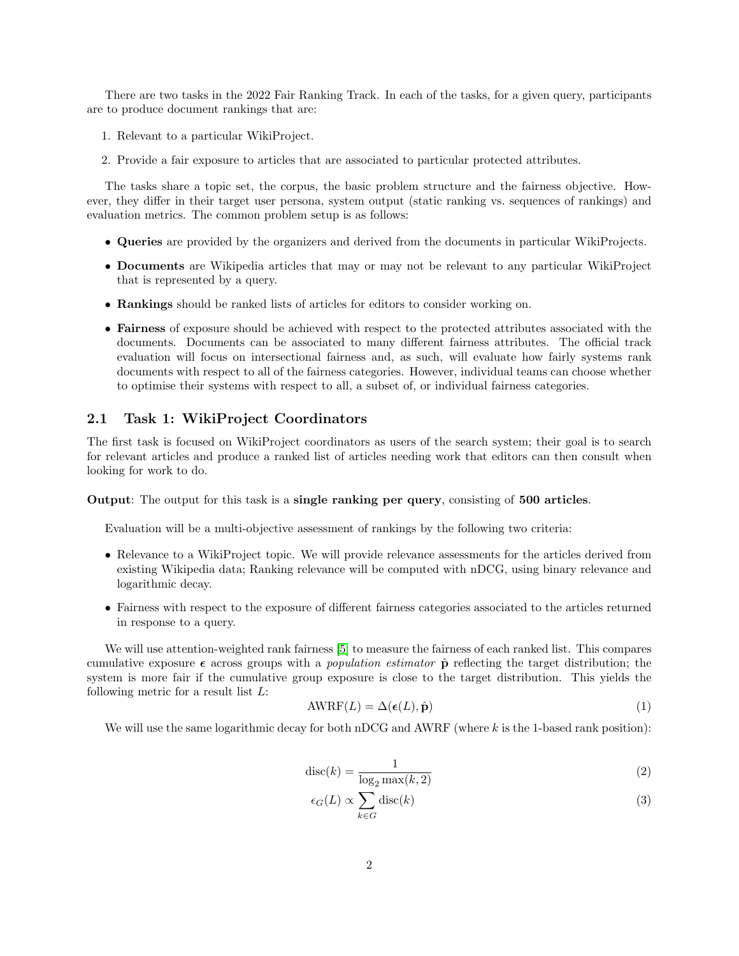There are two tasks in the 2022 Fair Ranking Track. In each of the tasks, for a given query, participants are to produce document rankings that are:

- 1. Relevant to a particular WikiProject.
- 2. Provide a fair exposure to articles that are associated to particular protected attributes.

The tasks share a topic set, the corpus, the basic problem structure and the fairness objective. However, they differ in their target user persona, system output (static ranking vs. sequences of rankings) and evaluation metrics. The common problem setup is as follows:

- Queries are provided by the organizers and derived from the documents in particular WikiProjects.
- Documents are Wikipedia articles that may or may not be relevant to any particular WikiProject that is represented by a query.
- Rankings should be ranked lists of articles for editors to consider working on.
- Fairness of exposure should be achieved with respect to the protected attributes associated with the documents. Documents can be associated to many different fairness attributes. The official track evaluation will focus on intersectional fairness and, as such, will evaluate how fairly systems rank documents with respect to all of the fairness categories. However, individual teams can choose whether to optimise their systems with respect to all, a subset of, or individual fairness categories.

## 2.1 Task 1: WikiProject Coordinators

The first task is focused on WikiProject coordinators as users of the search system; their goal is to search for relevant articles and produce a ranked list of articles needing work that editors can then consult when looking for work to do.

Output: The output for this task is a single ranking per query, consisting of 500 articles.

Evaluation will be a multi-objective assessment of rankings by the following two criteria:

- Relevance to a WikiProject topic. We will provide relevance assessments for the articles derived from existing Wikipedia data; Ranking relevance will be computed with nDCG, using binary relevance and logarithmic decay.
- Fairness with respect to the exposure of different fairness categories associated to the articles returned in response to a query.

We will use attention-weighted rank fairness [\[5\]](#page-6-2) to measure the fairness of each ranked list. This compares cumulative exposure  $\epsilon$  across groups with a *population estimator*  $\hat{p}$  reflecting the target distribution; the system is more fair if the cumulative group exposure is close to the target distribution. This yields the following metric for a result list  $L$ :

$$
AWRF(L) = \Delta(\epsilon(L), \hat{\mathbf{p}})
$$
\n(1)

We will use the same logarithmic decay for both nDCG and AWRF (where  $k$  is the 1-based rank position):

$$
\operatorname{disc}(k) = \frac{1}{\log_2 \max(k, 2)}\tag{2}
$$

$$
\epsilon_G(L) \propto \sum_{k \in G} \text{disc}(k) \tag{3}
$$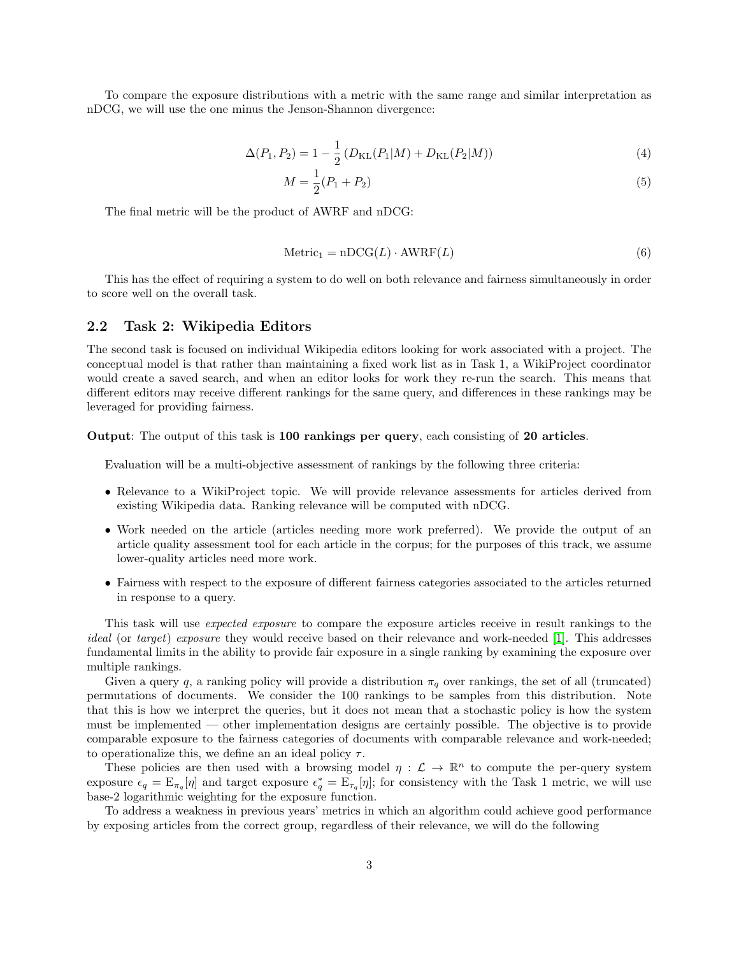To compare the exposure distributions with a metric with the same range and similar interpretation as nDCG, we will use the one minus the Jenson-Shannon divergence:

$$
\Delta(P_1, P_2) = 1 - \frac{1}{2} \left( D_{\text{KL}}(P_1|M) + D_{\text{KL}}(P_2|M) \right)
$$
\n(4)

$$
M = \frac{1}{2}(P_1 + P_2)
$$
\n(5)

The final metric will be the product of AWRF and nDCG:

$$
Metric1 = nDCG(L) \cdot AWERF(L)
$$
 (6)

This has the effect of requiring a system to do well on both relevance and fairness simultaneously in order to score well on the overall task.

#### <span id="page-2-0"></span>2.2 Task 2: Wikipedia Editors

The second task is focused on individual Wikipedia editors looking for work associated with a project. The conceptual model is that rather than maintaining a fixed work list as in Task 1, a WikiProject coordinator would create a saved search, and when an editor looks for work they re-run the search. This means that different editors may receive different rankings for the same query, and differences in these rankings may be leveraged for providing fairness.

#### Output: The output of this task is 100 rankings per query, each consisting of 20 articles.

Evaluation will be a multi-objective assessment of rankings by the following three criteria:

- Relevance to a WikiProject topic. We will provide relevance assessments for articles derived from existing Wikipedia data. Ranking relevance will be computed with nDCG.
- Work needed on the article (articles needing more work preferred). We provide the output of an article quality assessment tool for each article in the corpus; for the purposes of this track, we assume lower-quality articles need more work.
- Fairness with respect to the exposure of different fairness categories associated to the articles returned in response to a query.

This task will use expected exposure to compare the exposure articles receive in result rankings to the ideal (or target) exposure they would receive based on their relevance and work-needed [\[1\]](#page-6-3). This addresses fundamental limits in the ability to provide fair exposure in a single ranking by examining the exposure over multiple rankings.

Given a query q, a ranking policy will provide a distribution  $\pi_q$  over rankings, the set of all (truncated) permutations of documents. We consider the 100 rankings to be samples from this distribution. Note that this is how we interpret the queries, but it does not mean that a stochastic policy is how the system must be implemented — other implementation designs are certainly possible. The objective is to provide comparable exposure to the fairness categories of documents with comparable relevance and work-needed; to operationalize this, we define an an ideal policy  $\tau$ .

These policies are then used with a browsing model  $\eta : \mathcal{L} \to \mathbb{R}^n$  to compute the per-query system exposure  $\epsilon_q = \mathbb{E}_{\pi_q}[\eta]$  and target exposure  $\epsilon_q^* = \mathbb{E}_{\pi_q}[\eta]$ ; for consistency with the Task 1 metric, we will use base-2 logarithmic weighting for the exposure function.

To address a weakness in previous years' metrics in which an algorithm could achieve good performance by exposing articles from the correct group, regardless of their relevance, we will do the following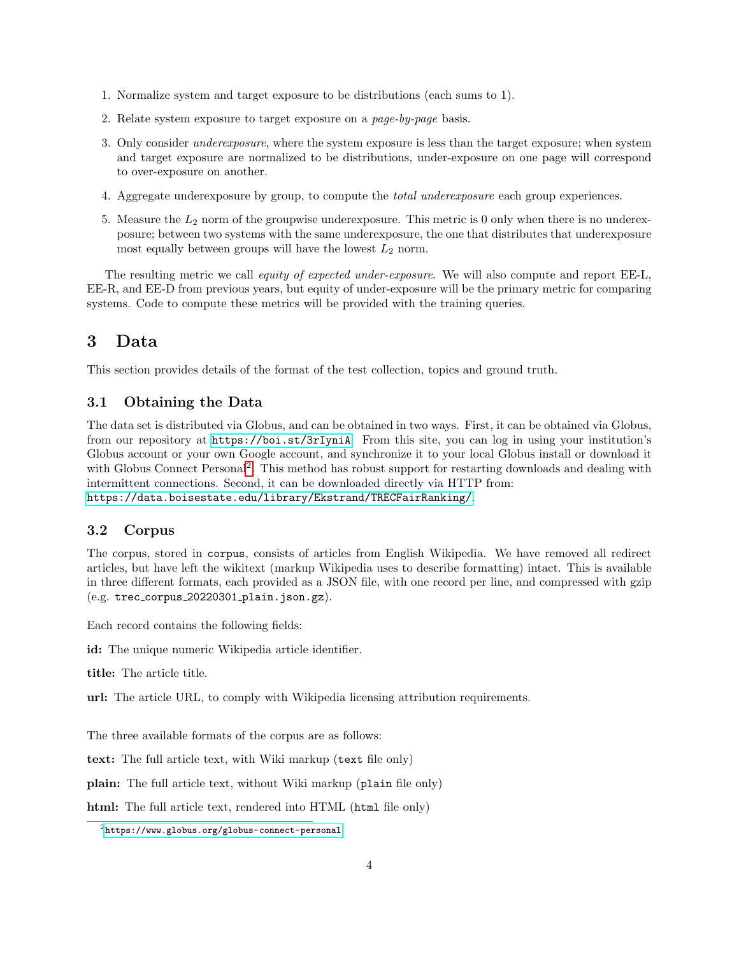- 1. Normalize system and target exposure to be distributions (each sums to 1).
- 2. Relate system exposure to target exposure on a page-by-page basis.
- 3. Only consider underexposure, where the system exposure is less than the target exposure; when system and target exposure are normalized to be distributions, under-exposure on one page will correspond to over-exposure on another.
- 4. Aggregate underexposure by group, to compute the total underexposure each group experiences.
- 5. Measure the  $L_2$  norm of the groupwise underexposure. This metric is 0 only when there is no underexposure; between two systems with the same underexposure, the one that distributes that underexposure most equally between groups will have the lowest  $L_2$  norm.

The resulting metric we call *equity of expected under-exposure*. We will also compute and report EE-L, EE-R, and EE-D from previous years, but equity of under-exposure will be the primary metric for comparing systems. Code to compute these metrics will be provided with the training queries.

# 3 Data

This section provides details of the format of the test collection, topics and ground truth.

## 3.1 Obtaining the Data

The data set is distributed via Globus, and can be obtained in two ways. First, it can be obtained via Globus, from our repository at <https://boi.st/3rIyniA>. From this site, you can log in using your institution's Globus account or your own Google account, and synchronize it to your local Globus install or download it with Globus Connect Personal<sup>[2](#page-3-0)</sup>. This method has robust support for restarting downloads and dealing with intermittent connections. Second, it can be downloaded directly via HTTP from: <https://data.boisestate.edu/library/Ekstrand/TRECFairRanking/>.

## 3.2 Corpus

The corpus, stored in corpus, consists of articles from English Wikipedia. We have removed all redirect articles, but have left the wikitext (markup Wikipedia uses to describe formatting) intact. This is available in three different formats, each provided as a JSON file, with one record per line, and compressed with gzip  $(e.g. tree.corpus_20220301.plain.jpg$ .json.gz).

Each record contains the following fields:

id: The unique numeric Wikipedia article identifier.

title: The article title.

url: The article URL, to comply with Wikipedia licensing attribution requirements.

The three available formats of the corpus are as follows:

text: The full article text, with Wiki markup (text file only)

plain: The full article text, without Wiki markup (plain file only)

html: The full article text, rendered into HTML (html file only)

<span id="page-3-0"></span><sup>2</sup><https://www.globus.org/globus-connect-personal>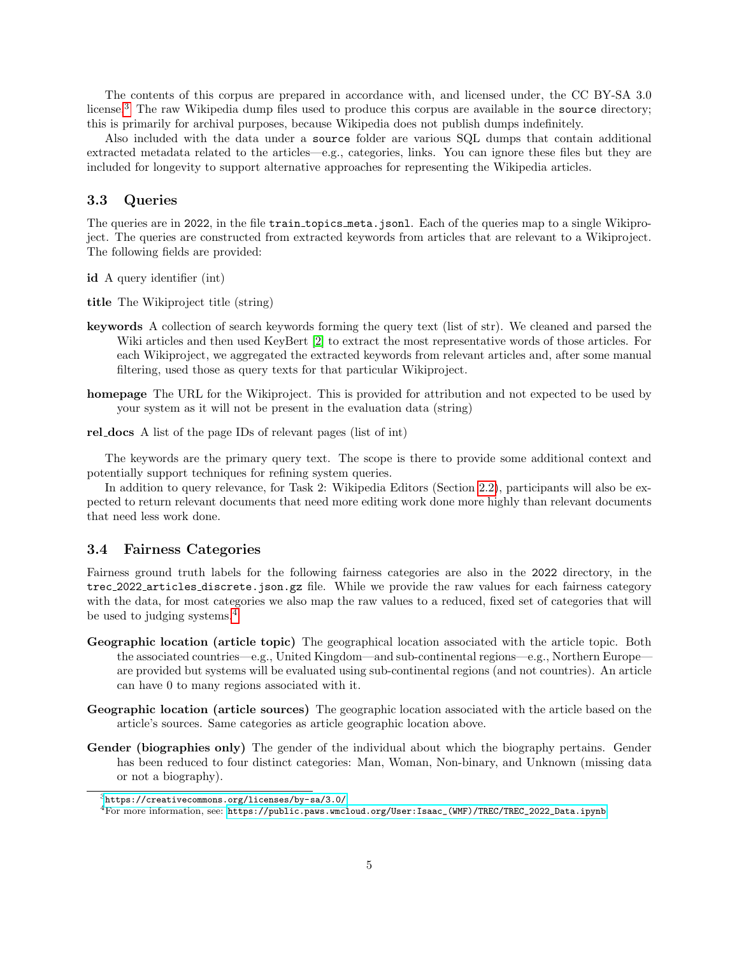The contents of this corpus are prepared in accordance with, and licensed under, the CC BY-SA 3.0 license.<sup>[3](#page-4-0)</sup> The raw Wikipedia dump files used to produce this corpus are available in the source directory; this is primarily for archival purposes, because Wikipedia does not publish dumps indefinitely.

Also included with the data under a source folder are various SQL dumps that contain additional extracted metadata related to the articles—e.g., categories, links. You can ignore these files but they are included for longevity to support alternative approaches for representing the Wikipedia articles.

#### 3.3 Queries

The queries are in 2022, in the file train topics meta.jsonl. Each of the queries map to a single Wikiproject. The queries are constructed from extracted keywords from articles that are relevant to a Wikiproject. The following fields are provided:

id A query identifier (int)

title The Wikiproject title (string)

- keywords A collection of search keywords forming the query text (list of str). We cleaned and parsed the Wiki articles and then used KeyBert [\[2\]](#page-6-4) to extract the most representative words of those articles. For each Wikiproject, we aggregated the extracted keywords from relevant articles and, after some manual filtering, used those as query texts for that particular Wikiproject.
- homepage The URL for the Wikiproject. This is provided for attribution and not expected to be used by your system as it will not be present in the evaluation data (string)
- rel docs A list of the page IDs of relevant pages (list of int)

The keywords are the primary query text. The scope is there to provide some additional context and potentially support techniques for refining system queries.

In addition to query relevance, for Task 2: Wikipedia Editors (Section [2.2\)](#page-2-0), participants will also be expected to return relevant documents that need more editing work done more highly than relevant documents that need less work done.

### <span id="page-4-2"></span>3.4 Fairness Categories

Fairness ground truth labels for the following fairness categories are also in the 2022 directory, in the trec 2022 articles discrete.json.gz file. While we provide the raw values for each fairness category with the data, for most categories we also map the raw values to a reduced, fixed set of categories that will be used to judging systems.<sup>[4](#page-4-1)</sup>

- Geographic location (article topic) The geographical location associated with the article topic. Both the associated countries—e.g., United Kingdom—and sub-continental regions—e.g., Northern Europe are provided but systems will be evaluated using sub-continental regions (and not countries). An article can have 0 to many regions associated with it.
- Geographic location (article sources) The geographic location associated with the article based on the article's sources. Same categories as article geographic location above.
- Gender (biographies only) The gender of the individual about which the biography pertains. Gender has been reduced to four distinct categories: Man, Woman, Non-binary, and Unknown (missing data or not a biography).

<span id="page-4-0"></span> $3$ <https://creativecommons.org/licenses/by-sa/3.0/>

<span id="page-4-1"></span><sup>4</sup>For more information, see: [https://public.paws.wmcloud.org/User:Isaac\\_\(WMF\)/TREC/TREC\\_2022\\_Data.ipynb](https://public.paws.wmcloud.org/User:Isaac_(WMF)/TREC/TREC_2022_Data.ipynb)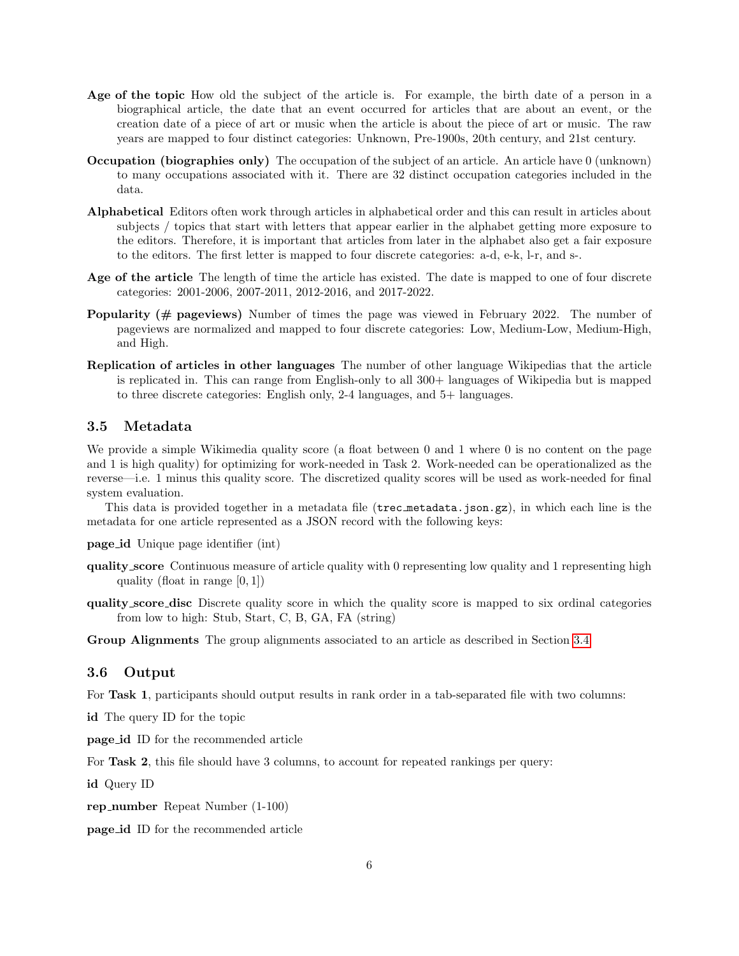- Age of the topic How old the subject of the article is. For example, the birth date of a person in a biographical article, the date that an event occurred for articles that are about an event, or the creation date of a piece of art or music when the article is about the piece of art or music. The raw years are mapped to four distinct categories: Unknown, Pre-1900s, 20th century, and 21st century.
- Occupation (biographies only) The occupation of the subject of an article. An article have 0 (unknown) to many occupations associated with it. There are 32 distinct occupation categories included in the data.
- Alphabetical Editors often work through articles in alphabetical order and this can result in articles about subjects / topics that start with letters that appear earlier in the alphabet getting more exposure to the editors. Therefore, it is important that articles from later in the alphabet also get a fair exposure to the editors. The first letter is mapped to four discrete categories: a-d, e-k, l-r, and s-.
- Age of the article The length of time the article has existed. The date is mapped to one of four discrete categories: 2001-2006, 2007-2011, 2012-2016, and 2017-2022.
- Popularity (# pageviews) Number of times the page was viewed in February 2022. The number of pageviews are normalized and mapped to four discrete categories: Low, Medium-Low, Medium-High, and High.
- Replication of articles in other languages The number of other language Wikipedias that the article is replicated in. This can range from English-only to all 300+ languages of Wikipedia but is mapped to three discrete categories: English only, 2-4 languages, and 5+ languages.

### 3.5 Metadata

We provide a simple Wikimedia quality score (a float between 0 and 1 where 0 is no content on the page and 1 is high quality) for optimizing for work-needed in Task 2. Work-needed can be operationalized as the reverse—i.e. 1 minus this quality score. The discretized quality scores will be used as work-needed for final system evaluation.

This data is provided together in a metadata file (trec metadata.json.gz), in which each line is the metadata for one article represented as a JSON record with the following keys:

- page id Unique page identifier (int)
- quality score Continuous measure of article quality with 0 representing low quality and 1 representing high quality (float in range  $[0, 1]$ )
- quality score disc Discrete quality score in which the quality score is mapped to six ordinal categories from low to high: Stub, Start, C, B, GA, FA (string)

Group Alignments The group alignments associated to an article as described in Section [3.4.](#page-4-2)

### 3.6 Output

For Task 1, participants should output results in rank order in a tab-separated file with two columns:

id The query ID for the topic

page id ID for the recommended article

For **Task 2**, this file should have 3 columns, to account for repeated rankings per query:

id Query ID

rep number Repeat Number (1-100)

page id ID for the recommended article